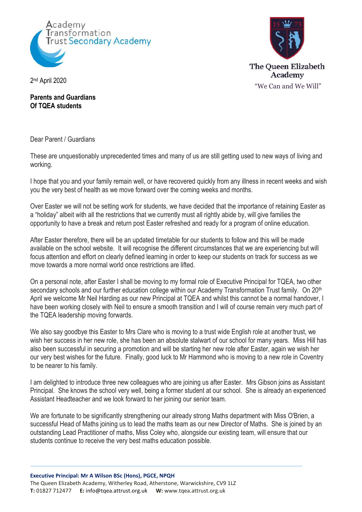



2 nd April 2020

**Parents and Guardians Of TQEA students**

Dear Parent / Guardians

These are unquestionably unprecedented times and many of us are still getting used to new ways of living and working.

I hope that you and your family remain well, or have recovered quickly from any illness in recent weeks and wish you the very best of health as we move forward over the coming weeks and months.

Over Easter we will not be setting work for students, we have decided that the importance of retaining Easter as a "holiday" albeit with all the restrictions that we currently must all rightly abide by, will give families the opportunity to have a break and return post Easter refreshed and ready for a program of online education.

After Easter therefore, there will be an updated timetable for our students to follow and this will be made available on the school website. It will recognise the different circumstances that we are experiencing but will focus attention and effort on clearly defined learning in order to keep our students on track for success as we move towards a more normal world once restrictions are lifted.

On a personal note, after Easter I shall be moving to my formal role of Executive Principal for TQEA, two other secondary schools and our further education college within our Academy Transformation Trust family. On 20<sup>th</sup> April we welcome Mr Neil Harding as our new Principal at TQEA and whilst this cannot be a normal handover, I have been working closely with Neil to ensure a smooth transition and I will of course remain very much part of the TQEA leadership moving forwards.

We also say goodbye this Easter to Mrs Clare who is moving to a trust wide English role at another trust, we wish her success in her new role, she has been an absolute stalwart of our school for many years. Miss Hill has also been successful in securing a promotion and will be starting her new role after Easter, again we wish her our very best wishes for the future. Finally, good luck to Mr Hammond who is moving to a new role in Coventry to be nearer to his family.

I am delighted to introduce three new colleagues who are joining us after Easter. Mrs Gibson joins as Assistant Principal. She knows the school very well, being a former student at our school. She is already an experienced Assistant Headteacher and we look forward to her joining our senior team.

We are fortunate to be significantly strengthening our already strong Maths department with Miss O'Brien, a successful Head of Maths joining us to lead the maths team as our new Director of Maths. She is joined by an outstanding Lead Practitioner of maths, Miss Coley who, alongside our existing team, will ensure that our students continue to receive the very best maths education possible.